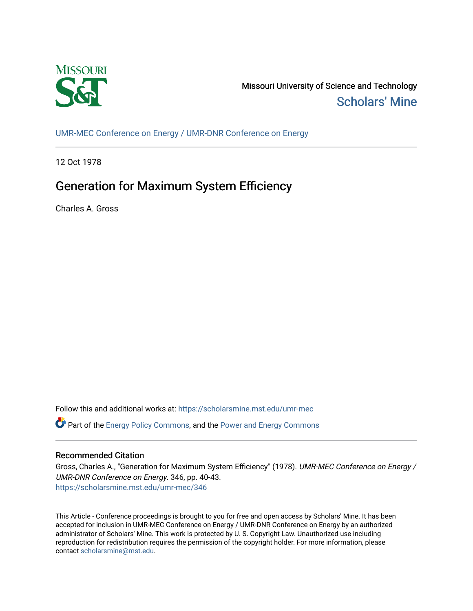

Missouri University of Science and Technology [Scholars' Mine](https://scholarsmine.mst.edu/) 

[UMR-MEC Conference on Energy / UMR-DNR Conference on Energy](https://scholarsmine.mst.edu/umr-mec)

12 Oct 1978

# Generation for Maximum System Efficiency

Charles A. Gross

Follow this and additional works at: [https://scholarsmine.mst.edu/umr-mec](https://scholarsmine.mst.edu/umr-mec?utm_source=scholarsmine.mst.edu%2Fumr-mec%2F346&utm_medium=PDF&utm_campaign=PDFCoverPages) 

 $\bullet$  Part of the [Energy Policy Commons](http://network.bepress.com/hgg/discipline/1065?utm_source=scholarsmine.mst.edu%2Fumr-mec%2F346&utm_medium=PDF&utm_campaign=PDFCoverPages), and the Power and Energy Commons

## Recommended Citation

Gross, Charles A., "Generation for Maximum System Efficiency" (1978). UMR-MEC Conference on Energy / UMR-DNR Conference on Energy. 346, pp. 40-43. [https://scholarsmine.mst.edu/umr-mec/346](https://scholarsmine.mst.edu/umr-mec/346?utm_source=scholarsmine.mst.edu%2Fumr-mec%2F346&utm_medium=PDF&utm_campaign=PDFCoverPages) 

This Article - Conference proceedings is brought to you for free and open access by Scholars' Mine. It has been accepted for inclusion in UMR-MEC Conference on Energy / UMR-DNR Conference on Energy by an authorized administrator of Scholars' Mine. This work is protected by U. S. Copyright Law. Unauthorized use including reproduction for redistribution requires the permission of the copyright holder. For more information, please contact [scholarsmine@mst.edu](mailto:scholarsmine@mst.edu).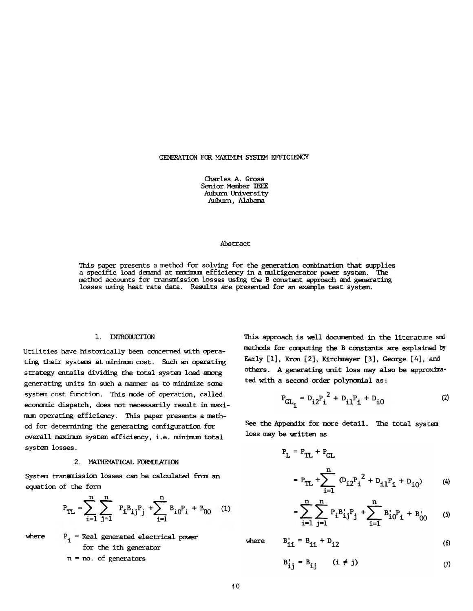#### GENERATION FOR MAXIMUM SYSTEM EFFICIENCY

Charles A. Gross Senior Member IEEE Auburn University Auburn, Alabama

#### Abstract

This paper presents a method for solving for the generation combination that supplies a specific load demand at maximum efficiency in a multigenerator power system. The method accounts for transmission losses using the B constant approach and generating losses using heat rate data. Results are presented for an example test system.

#### 1. INTRODUCTION

Utilities have historically been concerned with operating their systems at minimum cost. Such an operating strategy entails dividing the total system load among generating units in such a manner as to minimize some systan cost function. This mode of operation, called economic dispatch, does not necessarily result in maximum operating efficiency. This paper presents a method for determining the generating configuration for overall maximum system efficiency, i.e. minimum total system losses.

## 2. MATHEMATICAL FORMULATION

**System transmission losses can be calculated from an equation of the form**

$$
P_{TL} = \sum_{i=1}^{n} \sum_{j=1}^{n} P_{i} B_{ij} P_{j} + \sum_{i=1}^{n} B_{i0} P_{i} + B_{00} \quad (1)
$$

where  $P_i$  = Real generated electrical power for the ith generator

$$
n = no
$$
. of generators

This approach is well documented in the literature and methods for computing the B constants are explained by Early [1], Kron [2], Kirchmayer [3], George [4], and others. A generating unit loss may also be approximated with a second order polynomial as:

$$
P_{GL_{\mathbf{i}}} = D_{\mathbf{i}2} P_{\mathbf{i}}^2 + D_{\mathbf{i}1} P_{\mathbf{i}} + D_{\mathbf{i}0} \tag{2}
$$

See the Appendix for more detail. The total system loss may be written as

$$
P_{L} = P_{TL} + P_{GL}
$$
  
=  $P_{TL} + \sum_{i=1}^{n} (D_{i2}P_{i}^{2} + D_{i1}P_{i} + D_{i0})$  (4)

$$
= \sum_{i=1}^{n} \sum_{j=1}^{n} P_{i} B_{i,j}^{j} P_{j} + \sum_{i=1}^{n} B_{i0}^{j} P_{i} + B_{00}^{'} \qquad (5)
$$

**(6)**

where

 $B'_{ii} = B_{ii} + D_{i2}$ 

$$
B'_{ij} = B_{ij} \qquad (i \neq j) \qquad (7)
$$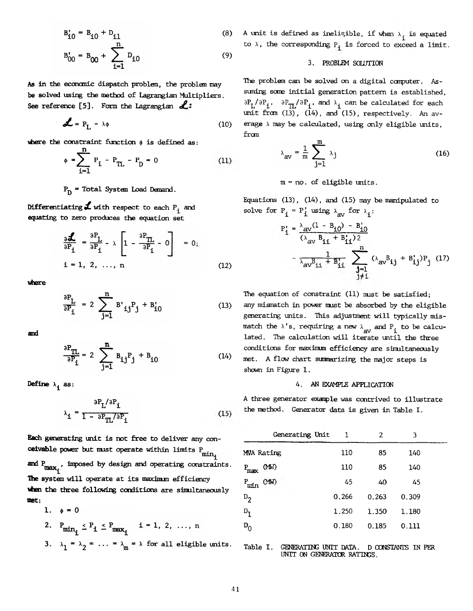$$
B_{i0}^{\dagger} = B_{i0} + D_{i1}
$$
 (8)

$$
B'_{00} = B_{00} + \sum_{i=1}^{n} D_{i0}
$$
 (9)

**As in the economic dispatch problem, the problem may be solved losing the method of Lagrangian Multipliers.** See reference [5]. Form the Lagrangian  $\mathcal{L}$ :

$$
\mathcal{L} = P_{L} - \lambda \phi \tag{10}
$$

where the constraint function  $\phi$  is defined as:

$$
\phi = \sum_{i=1}^{n} P_i - P_{TL} - P_D = 0 \tag{11}
$$

# **Pq = Total System Load Demand.**

**Differentiating**  $\mathbf{J}$  with respect to each  $P^{\perp}_{i}$  and **equating to zero produces the equation set**

$$
\frac{\partial \mathbf{L}}{\partial P_i} = \frac{\partial P_L}{\partial P_i} - \lambda \left[ 1 - \frac{\partial P_{TL}}{\partial P_i} - 0 \right] = 0;
$$
  
i = 1, 2, ..., n (12)

**where**

$$
\frac{\partial P_L}{\partial P_i} = 2 \sum_{j=1}^{n} B'_{ij} P_j + B'_{i0}
$$
 (13)

**and**

$$
\frac{\partial P_{TL}}{\partial P_i} = 2 \sum_{j=1}^{n} B_{ij} P_j + B_{i0}
$$
 (14)

$$
\lambda_{\mathbf{i}} = \frac{\partial P_{\mathbf{L}}/\partial P_{\mathbf{i}}}{1 - \partial P_{\mathbf{TL}}/\partial P_{\mathbf{i}}}
$$
(15)

**Each generating unit is not free to deliver any conceivable power but must operate within limits P ... min** and P<sub>max</sub>, imposed by design and operating constraints. **The system will operate at its maxinun efficiency when the three following conditions are simultaneously met:**

1. 
$$
\phi = 0
$$
  
2. P.  $\langle P, \times P \rangle$  i = 1, 2, ..., n

$$
\min_{i} -1 - \max_{i} \quad \text{for } i \neq j \text{ and } \quad
$$

3. 
$$
\lambda_1 = \lambda_2 = \ldots = \lambda_m = \lambda
$$
 for all eligible units.

A unit is defined as ineligible, if when  $\lambda_i$  is equated to  $\lambda$ , the corresponding  $P_i$  is forced to exceed a limit.

### 3. PROBLEM SOLUTION

The problem can be solved on a digital computer. Assuming some initial generation pattern is established,  $\partial P^{\dagger}_{\rm L}/\partial P^{\dagger}_{\rm i}$ ,  $\partial P^{\dagger}_{\rm T}/\partial P^{\dagger}_{\rm i}$ , and  $\lambda^{\dagger}_{\rm i}$  can be calculated for each unit from  $(13)$ ,  $(14)$ , and  $(15)$ , respectively. An average  $\lambda$  may be calculated, using only eligible units, from

$$
\lambda_{\text{av}} = \frac{1}{m} \sum_{j=1}^{m} \lambda_j
$$
 (16)

#### m = no. of eligible units.

Equations (13), (14) , and (15) may be manipulated to solve for  $P_i = P_i'$  using  $\lambda_{av}$  for  $\lambda_i$ :

$$
P'_{1} = \frac{\lambda_{av}(1 - B_{i0}) - B'_{i0}}{(\lambda_{av} B_{i1} + B'_{i1})^2}
$$

$$
- \frac{1}{\lambda_{av} B_{i1} + B'_{i1}} \sum_{\substack{j=1 \ j \neq i}}^{n} (\lambda_{av} B_{i,j} + B'_{i,j}) P_{j} (17)
$$

The equation of constraint (11) must be satisfied; any mismatch in power must be absorbed by the eligible generating units. This adjustment will typically mismatch the  $\lambda$ 's, requiring a new  $\lambda$  and P<sub>1</sub> to be calculated. The calculation will iterate until the three conditions for maximum efficiency are simultaneously met. A flow chart sinmarizing the major steps is shown in Figure 1.

## **Define**  $\lambda_4$  as:  $4.$  AN EXAMPLE APPLICATION

A three generator example was contrived to illustrate the method. Generator data is given in Table I.

|                  | Generating Unit | 1     | 2     | 3     |  |
|------------------|-----------------|-------|-------|-------|--|
| MVA Rating       |                 | 110   | 85    | 140   |  |
| $P_{\text{max}}$ | (MV)            | 110   | 85    | 140   |  |
| $P_{min}$        | (MN)            | 45    | 40    | 45    |  |
| $D_{2}$          |                 | 0.266 | 0.263 | 0.309 |  |
| $D_{1}$          |                 | 1.250 | 1.350 | 1.180 |  |
| $\mathtt{D}_0$   |                 | 0.180 | 0.185 | 0.111 |  |

#### Table I. GENERATING UNIT DATA. D CONSTANTS IN PER UNIT ON GENERATOR RATINGS.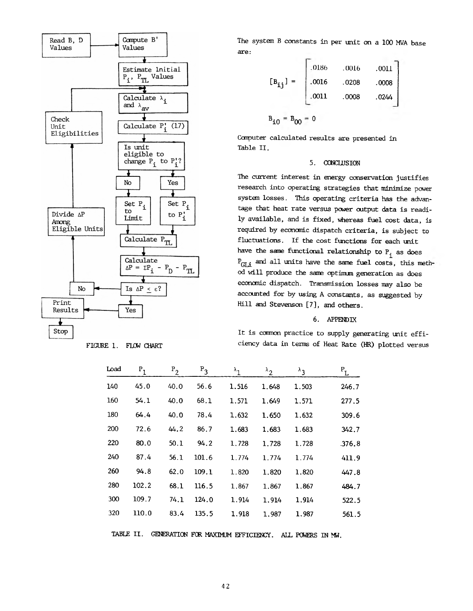

FIGURE 1. FLCW CHART

The system B constants in per unit on a 100 MVA base are:

$$
\begin{bmatrix} B_{ij} \end{bmatrix} = \begin{bmatrix} .0186 & .0016 & .0011 \\ .0016 & .0208 & .0008 \\ .0011 & .0008 & .0244 \\ .0011 & .0008 & .0244 \end{bmatrix}
$$

$$
B_{i0} = B_{00} = 0
$$

Computer calculated results are presented in Table II.

#### 5. CONCLUSION

The current interest in energy conservation justifies research into operating strategies that minimize power system losses. This operating criteria has the advantage that heat rate versus power output data is readily available, and is fixed, whereas fuel cost data, is required by economic dispatch criteria, is subject to fluctuations. If the cost functions for each unit have the same functional relationship to  $\mathbb{P}_{\textbf{i}}$  as does  $P_{G1,i}$  and all units have the same fuel costs, this method will produce the same optimum generation as does economic dispatch. Transmission losses may also be accounted for by using A constants, as suggested by Hill and Stevenson [7], and others.

#### 6. APPENDIX

It is common practice to supply generating unit efficiency data in terms of Heat Rate (HR) plotted versus

| Load | $P_1$ | $P_2$ | $P_3$ | $\lambda^1$ | $\lambda_2$ | $\lambda_3$ | $P_{L}$ |
|------|-------|-------|-------|-------------|-------------|-------------|---------|
| 140  | 45.0  | 40.0  | 56.6  | 1.516       | 1.648       | 1.503       | 246.7   |
| 160  | 54.1  | 40.0  | 68.1  | 1.571       | 1.649       | 1.571       | 277.5   |
| 180  | 64.4  | 40.0  | 78.4  | 1.632       | 1.650       | 1.632       | 309.6   |
| 200  | 72.6  | 44.2  | 86.7  | 1.683       | 1.683       | 1.683       | 342.7   |
| 220  | 80.0  | 50.1  | 94.2  | 1,728       | 1.728       | 1.728       | .376.8  |
| 240  | 87.4  | 56.1  | 101.6 | 1.774       | 1.774       | 1.774       | 411.9   |
| 260  | 94.8  | 62.0  | 109.1 | 1.820       | 1.820       | 1.820       | 447.8   |
| 280  | 102.2 | 68.1  | 116.5 | 1,867       | 1.867       | 1.867       | 484.7   |
| 300  | 109.7 | 74.1  | 124.0 | 1.914       | 1.914       | 1.914       | 522.5   |
| 320  | 110.0 | 83.4  | 135.5 | 1.918       | 1.987       | 1.987       | 561.5   |

TABLE II. GENERATION FOR MAXIMUM EFFICIENCY. ALL POWERS IN MW.